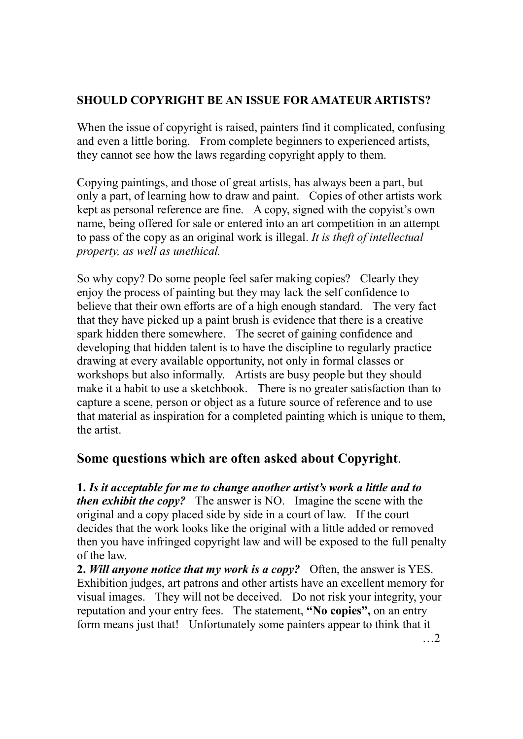## **SHOULD COPYRIGHT BE AN ISSUE FOR AMATEUR ARTISTS?**

When the issue of copyright is raised, painters find it complicated, confusing and even a little boring. From complete beginners to experienced artists, they cannot see how the laws regarding copyright apply to them.

Copying paintings, and those of great artists, has always been a part, but only a part, of learning how to draw and paint. Copies of other artists work kept as personal reference are fine. A copy, signed with the copyist's own name, being offered for sale or entered into an art competition in an attempt to pass of the copy as an original work is illegal. *It is theft of intellectual property, as well as unethical.* 

So why copy? Do some people feel safer making copies? Clearly they enjoy the process of painting but they may lack the self confidence to believe that their own efforts are of a high enough standard. The very fact that they have picked up a paint brush is evidence that there is a creative spark hidden there somewhere. The secret of gaining confidence and developing that hidden talent is to have the discipline to regularly practice drawing at every available opportunity, not only in formal classes or workshops but also informally. Artists are busy people but they should make it a habit to use a sketchbook. There is no greater satisfaction than to capture a scene, person or object as a future source of reference and to use that material as inspiration for a completed painting which is unique to them, the artist.

## **Some questions which are often asked about Copyright**.

**1.** *Is it acceptable for me to change another artist's work a little and to then exhibit the copy?* The answer is NO. Imagine the scene with the original and a copy placed side by side in a court of law. If the court decides that the work looks like the original with a little added or removed then you have infringed copyright law and will be exposed to the full penalty of the law.

**2.** *Will anyone notice that my work is a copy?* Often, the answer is YES. Exhibition judges, art patrons and other artists have an excellent memory for visual images. They will not be deceived. Do not risk your integrity, your reputation and your entry fees. The statement, **"No copies",** on an entry form means just that! Unfortunately some painters appear to think that it …2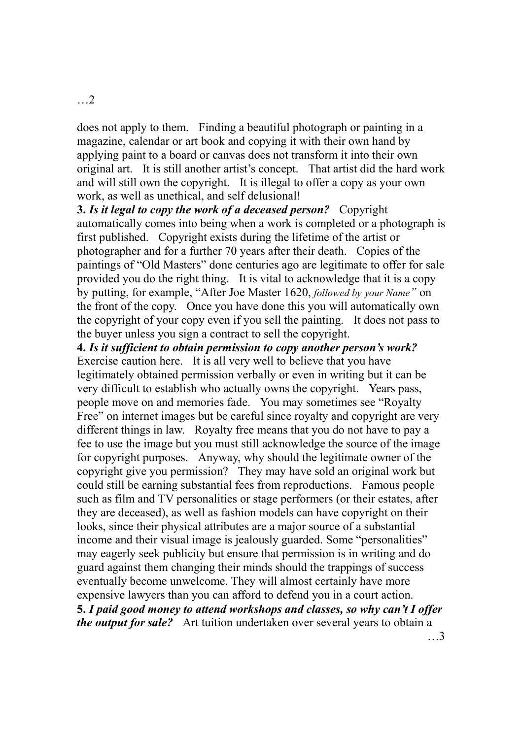does not apply to them. Finding a beautiful photograph or painting in a magazine, calendar or art book and copying it with their own hand by applying paint to a board or canvas does not transform it into their own original art. It is still another artist's concept. That artist did the hard work and will still own the copyright. It is illegal to offer a copy as your own work, as well as unethical, and self delusional!

**3.** *Is it legal to copy the work of a deceased person?* Copyright automatically comes into being when a work is completed or a photograph is first published. Copyright exists during the lifetime of the artist or photographer and for a further 70 years after their death. Copies of the paintings of "Old Masters" done centuries ago are legitimate to offer for sale provided you do the right thing. It is vital to acknowledge that it is a copy by putting, for example, "After Joe Master 1620, *followed by your Name"* on the front of the copy. Once you have done this you will automatically own the copyright of your copy even if you sell the painting. It does not pass to the buyer unless you sign a contract to sell the copyright.

**4.** *Is it sufficient to obtain permission to copy another person's work?* Exercise caution here. It is all very well to believe that you have legitimately obtained permission verbally or even in writing but it can be very difficult to establish who actually owns the copyright. Years pass, people move on and memories fade. You may sometimes see "Royalty Free" on internet images but be careful since royalty and copyright are very different things in law. Royalty free means that you do not have to pay a fee to use the image but you must still acknowledge the source of the image for copyright purposes. Anyway, why should the legitimate owner of the copyright give you permission? They may have sold an original work but could still be earning substantial fees from reproductions. Famous people such as film and TV personalities or stage performers (or their estates, after they are deceased), as well as fashion models can have copyright on their looks, since their physical attributes are a major source of a substantial income and their visual image is jealously guarded. Some "personalities" may eagerly seek publicity but ensure that permission is in writing and do guard against them changing their minds should the trappings of success eventually become unwelcome. They will almost certainly have more expensive lawyers than you can afford to defend you in a court action. **5.** *I paid good money to attend workshops and classes, so why can't I offer the output for sale?* Art tuition undertaken over several years to obtain a

…2